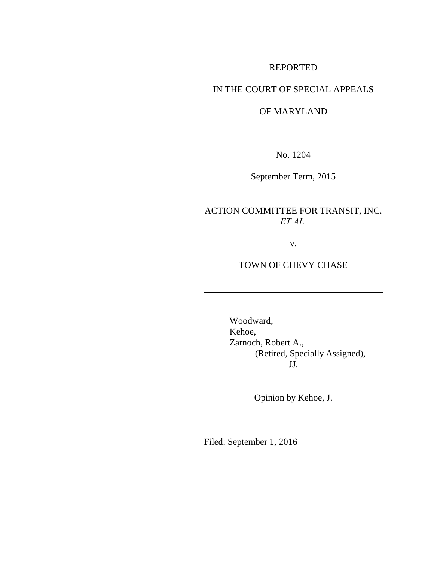## REPORTED

# IN THE COURT OF SPECIAL APPEALS

### OF MARYLAND

No. 1204

September Term, 2015

ACTION COMMITTEE FOR TRANSIT, INC. *ET AL.*

v.

# TOWN OF CHEVY CHASE

Woodward, Kehoe, Zarnoch, Robert A., (Retired, Specially Assigned), JJ.

Opinion by Kehoe, J.

Filed: September 1, 2016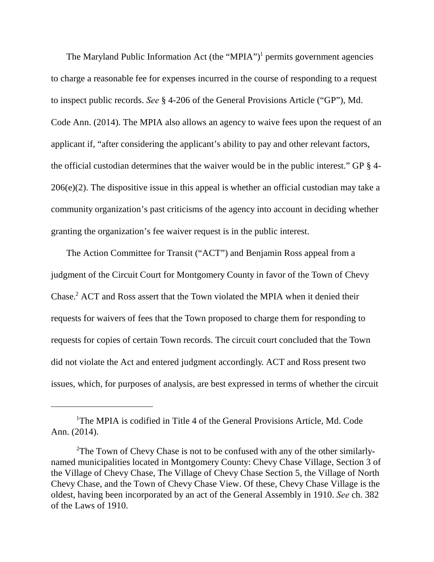The Maryland Public Information Act (the "MPIA")<sup>1</sup> permits government agencies to charge a reasonable fee for expenses incurred in the course of responding to a request to inspect public records. *See* § 4-206 of the General Provisions Article ("GP"), Md. Code Ann. (2014). The MPIA also allows an agency to waive fees upon the request of an applicant if, "after considering the applicant's ability to pay and other relevant factors, the official custodian determines that the waiver would be in the public interest." GP § 4- 206(e)(2). The dispositive issue in this appeal is whether an official custodian may take a community organization's past criticisms of the agency into account in deciding whether granting the organization's fee waiver request is in the public interest.

The Action Committee for Transit ("ACT") and Benjamin Ross appeal from a judgment of the Circuit Court for Montgomery County in favor of the Town of Chevy Chase.<sup>2</sup> ACT and Ross assert that the Town violated the MPIA when it denied their requests for waivers of fees that the Town proposed to charge them for responding to requests for copies of certain Town records. The circuit court concluded that the Town did not violate the Act and entered judgment accordingly. ACT and Ross present two issues, which, for purposes of analysis, are best expressed in terms of whether the circuit

<sup>&</sup>lt;sup>1</sup>The MPIA is codified in Title 4 of the General Provisions Article, Md. Code Ann. (2014).

<sup>&</sup>lt;sup>2</sup>The Town of Chevy Chase is not to be confused with any of the other similarlynamed municipalities located in Montgomery County: Chevy Chase Village, Section 3 of the Village of Chevy Chase, The Village of Chevy Chase Section 5, the Village of North Chevy Chase, and the Town of Chevy Chase View. Of these, Chevy Chase Village is the oldest, having been incorporated by an act of the General Assembly in 1910. *See* ch. 382 of the Laws of 1910.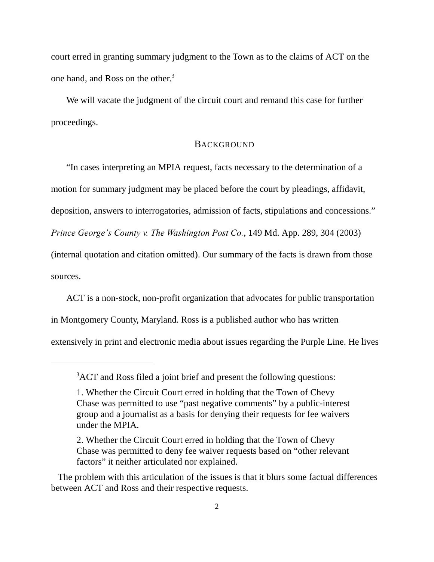court erred in granting summary judgment to the Town as to the claims of ACT on the one hand, and Ross on the other.<sup>3</sup>

We will vacate the judgment of the circuit court and remand this case for further proceedings.

### **BACKGROUND**

"In cases interpreting an MPIA request, facts necessary to the determination of a motion for summary judgment may be placed before the court by pleadings, affidavit, deposition, answers to interrogatories, admission of facts, stipulations and concessions." *Prince George's County v. The Washington Post Co.*, 149 Md. App. 289, 304 (2003) (internal quotation and citation omitted). Our summary of the facts is drawn from those sources.

ACT is a non-stock, non-profit organization that advocates for public transportation in Montgomery County, Maryland. Ross is a published author who has written extensively in print and electronic media about issues regarding the Purple Line. He lives

<sup>&</sup>lt;sup>3</sup>ACT and Ross filed a joint brief and present the following questions:

<sup>1.</sup> Whether the Circuit Court erred in holding that the Town of Chevy Chase was permitted to use "past negative comments" by a public-interest group and a journalist as a basis for denying their requests for fee waivers under the MPIA.

<sup>2.</sup> Whether the Circuit Court erred in holding that the Town of Chevy Chase was permitted to deny fee waiver requests based on "other relevant factors" it neither articulated nor explained.

The problem with this articulation of the issues is that it blurs some factual differences between ACT and Ross and their respective requests.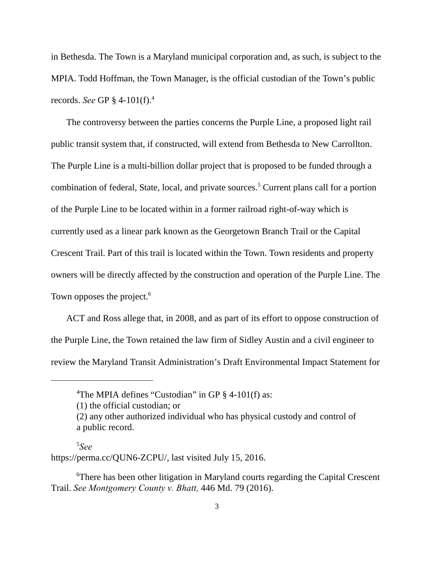in Bethesda. The Town is a Maryland municipal corporation and, as such, is subject to the MPIA. Todd Hoffman, the Town Manager, is the official custodian of the Town's public records. *See* GP § 4-101(f).<sup>4</sup>

The controversy between the parties concerns the Purple Line, a proposed light rail public transit system that, if constructed, will extend from Bethesda to New Carrollton. The Purple Line is a multi-billion dollar project that is proposed to be funded through a combination of federal, State, local, and private sources.<sup>5</sup> Current plans call for a portion of the Purple Line to be located within in a former railroad right-of-way which is currently used as a linear park known as the Georgetown Branch Trail or the Capital Crescent Trail. Part of this trail is located within the Town. Town residents and property owners will be directly affected by the construction and operation of the Purple Line. The Town opposes the project.<sup>6</sup>

ACT and Ross allege that, in 2008, and as part of its effort to oppose construction of the Purple Line, the Town retained the law firm of Sidley Austin and a civil engineer to review the Maryland Transit Administration's Draft Environmental Impact Statement for

#### $5S$ ee

https://perma.cc/QUN6-ZCPU/, last visited July 15, 2016.

<sup>6</sup>There has been other litigation in Maryland courts regarding the Capital Crescent Trail. *See Montgomery County v. Bhatt,* 446 Md. 79 (2016).

<sup>&</sup>lt;sup>4</sup>The MPIA defines "Custodian" in GP  $\S$  4-101(f) as:

<sup>(1)</sup> the official custodian; or

<sup>(2)</sup> any other authorized individual who has physical custody and control of a public record.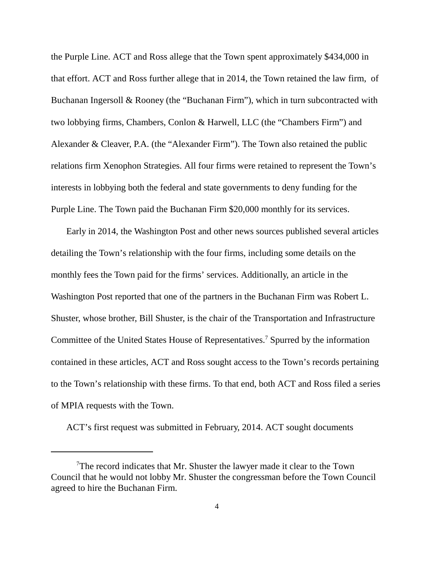the Purple Line. ACT and Ross allege that the Town spent approximately \$434,000 in that effort. ACT and Ross further allege that in 2014, the Town retained the law firm, of Buchanan Ingersoll & Rooney (the "Buchanan Firm"), which in turn subcontracted with two lobbying firms, Chambers, Conlon & Harwell, LLC (the "Chambers Firm") and Alexander & Cleaver, P.A. (the "Alexander Firm"). The Town also retained the public relations firm Xenophon Strategies. All four firms were retained to represent the Town's interests in lobbying both the federal and state governments to deny funding for the Purple Line. The Town paid the Buchanan Firm \$20,000 monthly for its services.

Early in 2014, the Washington Post and other news sources published several articles detailing the Town's relationship with the four firms, including some details on the monthly fees the Town paid for the firms' services. Additionally, an article in the Washington Post reported that one of the partners in the Buchanan Firm was Robert L. Shuster, whose brother, Bill Shuster, is the chair of the Transportation and Infrastructure Committee of the United States House of Representatives.<sup>7</sup> Spurred by the information contained in these articles, ACT and Ross sought access to the Town's records pertaining to the Town's relationship with these firms. To that end, both ACT and Ross filed a series of MPIA requests with the Town.

ACT's first request was submitted in February, 2014. ACT sought documents

<sup>&</sup>lt;sup>7</sup>The record indicates that Mr. Shuster the lawyer made it clear to the Town Council that he would not lobby Mr. Shuster the congressman before the Town Council agreed to hire the Buchanan Firm.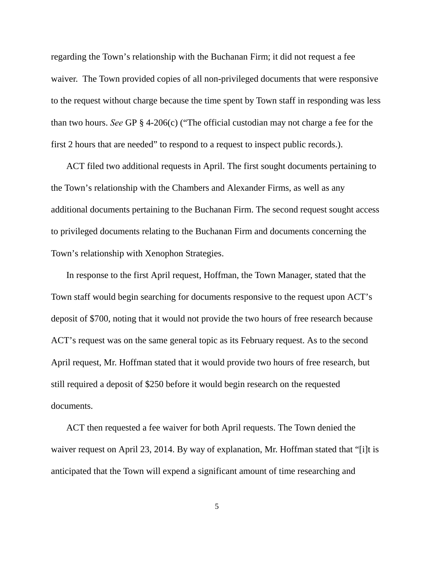regarding the Town's relationship with the Buchanan Firm; it did not request a fee waiver. The Town provided copies of all non-privileged documents that were responsive to the request without charge because the time spent by Town staff in responding was less than two hours. *See* GP § 4-206(c) ("The official custodian may not charge a fee for the first 2 hours that are needed" to respond to a request to inspect public records.).

ACT filed two additional requests in April. The first sought documents pertaining to the Town's relationship with the Chambers and Alexander Firms, as well as any additional documents pertaining to the Buchanan Firm. The second request sought access to privileged documents relating to the Buchanan Firm and documents concerning the Town's relationship with Xenophon Strategies.

In response to the first April request, Hoffman, the Town Manager, stated that the Town staff would begin searching for documents responsive to the request upon ACT's deposit of \$700, noting that it would not provide the two hours of free research because ACT's request was on the same general topic as its February request. As to the second April request, Mr. Hoffman stated that it would provide two hours of free research, but still required a deposit of \$250 before it would begin research on the requested documents.

ACT then requested a fee waiver for both April requests. The Town denied the waiver request on April 23, 2014. By way of explanation, Mr. Hoffman stated that "[i]t is anticipated that the Town will expend a significant amount of time researching and

5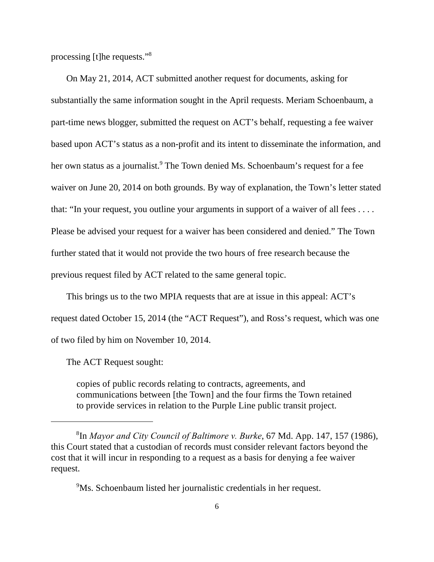processing [t]he requests."<sup>8</sup>

On May 21, 2014, ACT submitted another request for documents, asking for substantially the same information sought in the April requests. Meriam Schoenbaum, a part-time news blogger, submitted the request on ACT's behalf, requesting a fee waiver based upon ACT's status as a non-profit and its intent to disseminate the information, and her own status as a journalist.<sup>9</sup> The Town denied Ms. Schoenbaum's request for a fee waiver on June 20, 2014 on both grounds. By way of explanation, the Town's letter stated that: "In your request, you outline your arguments in support of a waiver of all fees . . . . Please be advised your request for a waiver has been considered and denied." The Town further stated that it would not provide the two hours of free research because the previous request filed by ACT related to the same general topic.

This brings us to the two MPIA requests that are at issue in this appeal: ACT's request dated October 15, 2014 (the "ACT Request"), and Ross's request, which was one of two filed by him on November 10, 2014.

The ACT Request sought:

copies of public records relating to contracts, agreements, and communications between [the Town] and the four firms the Town retained to provide services in relation to the Purple Line public transit project.

<sup>9</sup>Ms. Schoenbaum listed her journalistic credentials in her request.

<sup>&</sup>lt;sup>8</sup>In *Mayor and City Council of Baltimore v. Burke*, 67 Md. App. 147, 157 (1986), this Court stated that a custodian of records must consider relevant factors beyond the cost that it will incur in responding to a request as a basis for denying a fee waiver request.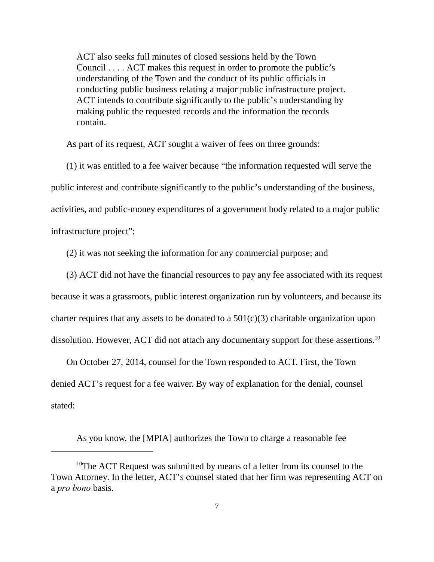ACT also seeks full minutes of closed sessions held by the Town Council . . . . ACT makes this request in order to promote the public's understanding of the Town and the conduct of its public officials in conducting public business relating a major public infrastructure project. ACT intends to contribute significantly to the public's understanding by making public the requested records and the information the records contain.

As part of its request, ACT sought a waiver of fees on three grounds:

(1) it was entitled to a fee waiver because "the information requested will serve the public interest and contribute significantly to the public's understanding of the business, activities, and public-money expenditures of a government body related to a major public infrastructure project";

(2) it was not seeking the information for any commercial purpose; and

(3) ACT did not have the financial resources to pay any fee associated with its request

because it was a grassroots, public interest organization run by volunteers, and because its

charter requires that any assets to be donated to a  $501(c)(3)$  charitable organization upon

dissolution. However, ACT did not attach any documentary support for these assertions.<sup>10</sup>

On October 27, 2014, counsel for the Town responded to ACT. First, the Town denied ACT's request for a fee waiver. By way of explanation for the denial, counsel stated:

As you know, the [MPIA] authorizes the Town to charge a reasonable fee

<sup>&</sup>lt;sup>10</sup>The ACT Request was submitted by means of a letter from its counsel to the Town Attorney. In the letter, ACT's counsel stated that her firm was representing ACT on a *pro bono* basis.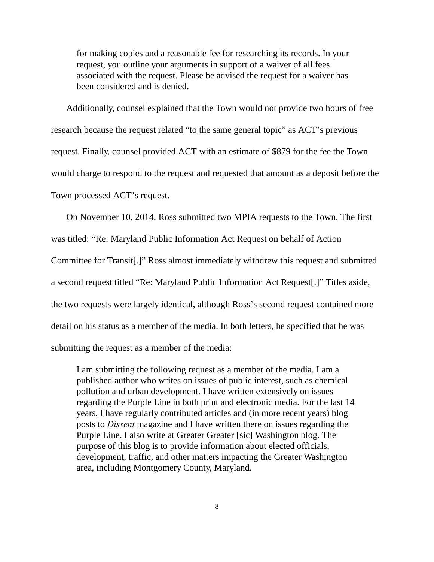for making copies and a reasonable fee for researching its records. In your request, you outline your arguments in support of a waiver of all fees associated with the request. Please be advised the request for a waiver has been considered and is denied.

Additionally, counsel explained that the Town would not provide two hours of free research because the request related "to the same general topic" as ACT's previous request. Finally, counsel provided ACT with an estimate of \$879 for the fee the Town would charge to respond to the request and requested that amount as a deposit before the Town processed ACT's request.

On November 10, 2014, Ross submitted two MPIA requests to the Town. The first was titled: "Re: Maryland Public Information Act Request on behalf of Action Committee for Transit[.]" Ross almost immediately withdrew this request and submitted a second request titled "Re: Maryland Public Information Act Request[.]" Titles aside, the two requests were largely identical, although Ross's second request contained more detail on his status as a member of the media. In both letters, he specified that he was submitting the request as a member of the media:

I am submitting the following request as a member of the media. I am a published author who writes on issues of public interest, such as chemical pollution and urban development. I have written extensively on issues regarding the Purple Line in both print and electronic media. For the last 14 years, I have regularly contributed articles and (in more recent years) blog posts to *Dissent* magazine and I have written there on issues regarding the Purple Line. I also write at Greater Greater [sic] Washington blog. The purpose of this blog is to provide information about elected officials, development, traffic, and other matters impacting the Greater Washington area, including Montgomery County, Maryland.

8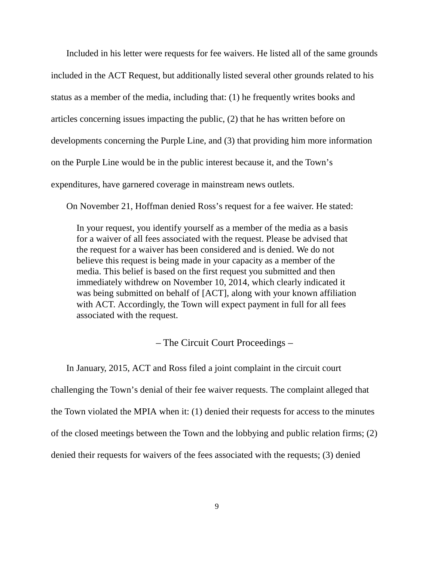Included in his letter were requests for fee waivers. He listed all of the same grounds included in the ACT Request, but additionally listed several other grounds related to his status as a member of the media, including that: (1) he frequently writes books and articles concerning issues impacting the public, (2) that he has written before on developments concerning the Purple Line, and (3) that providing him more information on the Purple Line would be in the public interest because it, and the Town's expenditures, have garnered coverage in mainstream news outlets.

On November 21, Hoffman denied Ross's request for a fee waiver. He stated:

In your request, you identify yourself as a member of the media as a basis for a waiver of all fees associated with the request. Please be advised that the request for a waiver has been considered and is denied. We do not believe this request is being made in your capacity as a member of the media. This belief is based on the first request you submitted and then immediately withdrew on November 10, 2014, which clearly indicated it was being submitted on behalf of [ACT], along with your known affiliation with ACT. Accordingly, the Town will expect payment in full for all fees associated with the request.

– The Circuit Court Proceedings –

In January, 2015, ACT and Ross filed a joint complaint in the circuit court challenging the Town's denial of their fee waiver requests. The complaint alleged that the Town violated the MPIA when it: (1) denied their requests for access to the minutes of the closed meetings between the Town and the lobbying and public relation firms; (2) denied their requests for waivers of the fees associated with the requests; (3) denied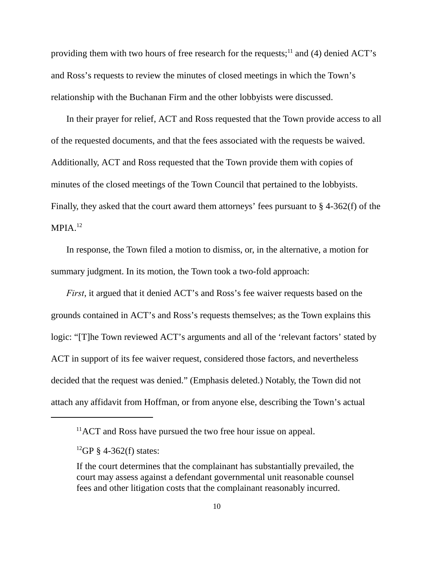providing them with two hours of free research for the requests;  $\frac{11}{11}$  and (4) denied ACT's and Ross's requests to review the minutes of closed meetings in which the Town's relationship with the Buchanan Firm and the other lobbyists were discussed.

In their prayer for relief, ACT and Ross requested that the Town provide access to all of the requested documents, and that the fees associated with the requests be waived. Additionally, ACT and Ross requested that the Town provide them with copies of minutes of the closed meetings of the Town Council that pertained to the lobbyists. Finally, they asked that the court award them attorneys' fees pursuant to § 4-362(f) of the  $MPIA.<sup>12</sup>$ 

In response, the Town filed a motion to dismiss, or, in the alternative, a motion for summary judgment. In its motion, the Town took a two-fold approach:

*First*, it argued that it denied ACT's and Ross's fee waiver requests based on the grounds contained in ACT's and Ross's requests themselves; as the Town explains this logic: "[T]he Town reviewed ACT's arguments and all of the 'relevant factors' stated by ACT in support of its fee waiver request, considered those factors, and nevertheless decided that the request was denied." (Emphasis deleted.) Notably, the Town did not attach any affidavit from Hoffman, or from anyone else, describing the Town's actual

 $11$ ACT and Ross have pursued the two free hour issue on appeal.

<sup>&</sup>lt;sup>12</sup>GP § 4-362(f) states:

If the court determines that the complainant has substantially prevailed, the court may assess against a defendant governmental unit reasonable counsel fees and other litigation costs that the complainant reasonably incurred.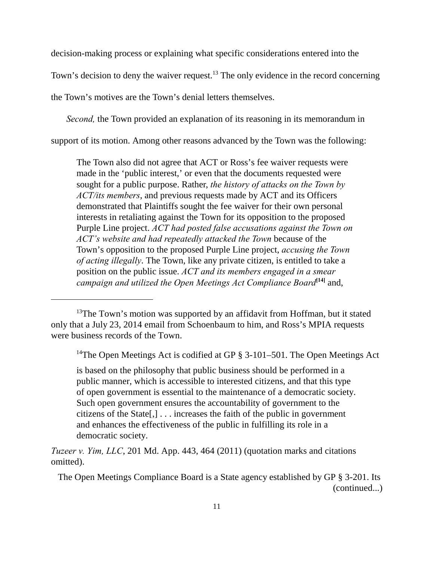decision-making process or explaining what specific considerations entered into the

Town's decision to deny the waiver request.<sup>13</sup> The only evidence in the record concerning

the Town's motives are the Town's denial letters themselves.

*Second*, the Town provided an explanation of its reasoning in its memorandum in

support of its motion. Among other reasons advanced by the Town was the following:

The Town also did not agree that ACT or Ross's fee waiver requests were made in the 'public interest,' or even that the documents requested were sought for a public purpose. Rather, *the history of attacks on the Town by ACT/its members*, and previous requests made by ACT and its Officers demonstrated that Plaintiffs sought the fee waiver for their own personal interests in retaliating against the Town for its opposition to the proposed Purple Line project. *ACT had posted false accusations against the Town on ACT's website and had repeatedly attacked the Town* because of the Town's opposition to the proposed Purple Line project, *accusing the Town of acting illegally*. The Town, like any private citizen, is entitled to take a position on the public issue. *ACT and its members engaged in a smear campaign and utilized the Open Meetings Act Compliance Board*<sup>[14]</sup> and,

<sup>14</sup>The Open Meetings Act is codified at GP  $\S$  3-101–501. The Open Meetings Act

is based on the philosophy that public business should be performed in a public manner, which is accessible to interested citizens, and that this type of open government is essential to the maintenance of a democratic society. Such open government ensures the accountability of government to the citizens of the State[,] . . . increases the faith of the public in government and enhances the effectiveness of the public in fulfilling its role in a democratic society.

*Tuzeer v. Yim, LLC*, 201 Md. App. 443, 464 (2011) (quotation marks and citations omitted).

 The Open Meetings Compliance Board is a State agency established by GP § 3-201. Its (continued...)

 $13$ The Town's motion was supported by an affidavit from Hoffman, but it stated only that a July 23, 2014 email from Schoenbaum to him, and Ross's MPIA requests were business records of the Town.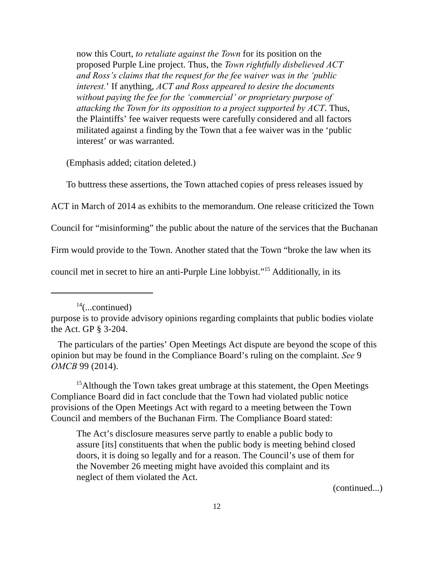now this Court, *to retaliate against the Town* for its position on the proposed Purple Line project. Thus, the *Town rightfully disbelieved ACT and Ross's claims that the request for the fee waiver was in the 'public interest.*' If anything, *ACT and Ross appeared to desire the documents without paying the fee for the 'commercial' or proprietary purpose of attacking the Town for its opposition to a project supported by ACT*. Thus, the Plaintiffs' fee waiver requests were carefully considered and all factors militated against a finding by the Town that a fee waiver was in the 'public interest' or was warranted.

(Emphasis added; citation deleted.)

To buttress these assertions, the Town attached copies of press releases issued by

ACT in March of 2014 as exhibits to the memorandum. One release criticized the Town

Council for "misinforming" the public about the nature of the services that the Buchanan

Firm would provide to the Town. Another stated that the Town "broke the law when its

council met in secret to hire an anti-Purple Line lobbyist."<sup>15</sup> Additionally, in its

 $15$ Although the Town takes great umbrage at this statement, the Open Meetings Compliance Board did in fact conclude that the Town had violated public notice provisions of the Open Meetings Act with regard to a meeting between the Town Council and members of the Buchanan Firm. The Compliance Board stated:

The Act's disclosure measures serve partly to enable a public body to assure [its] constituents that when the public body is meeting behind closed doors, it is doing so legally and for a reason. The Council's use of them for the November 26 meeting might have avoided this complaint and its neglect of them violated the Act.

(continued...)

 $14$ (...continued)

purpose is to provide advisory opinions regarding complaints that public bodies violate the Act. GP § 3-204.

The particulars of the parties' Open Meetings Act dispute are beyond the scope of this opinion but may be found in the Compliance Board's ruling on the complaint. *See* 9 *OMCB* 99 (2014).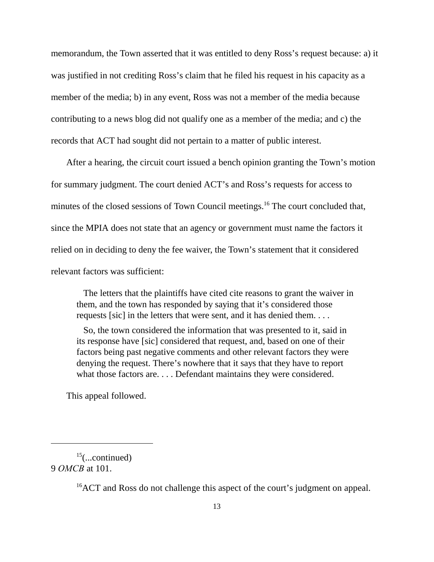memorandum, the Town asserted that it was entitled to deny Ross's request because: a) it was justified in not crediting Ross's claim that he filed his request in his capacity as a member of the media; b) in any event, Ross was not a member of the media because contributing to a news blog did not qualify one as a member of the media; and c) the records that ACT had sought did not pertain to a matter of public interest.

After a hearing, the circuit court issued a bench opinion granting the Town's motion for summary judgment. The court denied ACT's and Ross's requests for access to minutes of the closed sessions of Town Council meetings.<sup>16</sup> The court concluded that, since the MPIA does not state that an agency or government must name the factors it relied on in deciding to deny the fee waiver, the Town's statement that it considered relevant factors was sufficient:

 The letters that the plaintiffs have cited cite reasons to grant the waiver in them, and the town has responded by saying that it's considered those requests [sic] in the letters that were sent, and it has denied them. . . .

 So, the town considered the information that was presented to it, said in its response have [sic] considered that request, and, based on one of their factors being past negative comments and other relevant factors they were denying the request. There's nowhere that it says that they have to report what those factors are. . . . Defendant maintains they were considered.

This appeal followed.

 $15$ (...continued) 9 *OMCB* at 101.

 ${}^{16}$ ACT and Ross do not challenge this aspect of the court's judgment on appeal.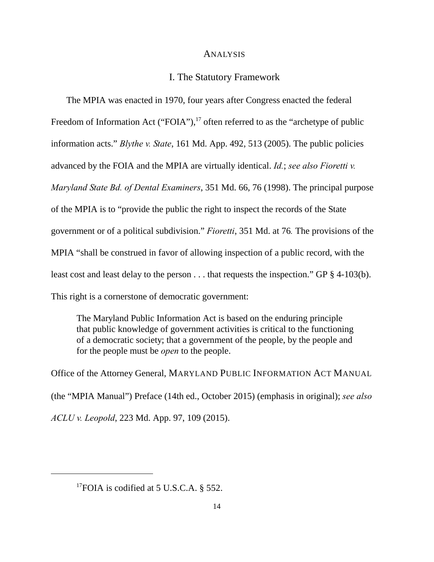#### **ANALYSIS**

#### I. The Statutory Framework

The MPIA was enacted in 1970, four years after Congress enacted the federal Freedom of Information Act ("FOIA"), $^{17}$  often referred to as the "archetype of public information acts." *Blythe v. State*, 161 Md. App. 492, 513 (2005). The public policies advanced by the FOIA and the MPIA are virtually identical. *Id.*; *see also Fioretti v. Maryland State Bd. of Dental Examiners*, 351 Md. 66, 76 (1998). The principal purpose of the MPIA is to "provide the public the right to inspect the records of the State government or of a political subdivision." *Fioretti*, 351 Md. at 76*.* The provisions of the MPIA "shall be construed in favor of allowing inspection of a public record, with the least cost and least delay to the person . . . that requests the inspection." GP § 4-103(b). This right is a cornerstone of democratic government:

The Maryland Public Information Act is based on the enduring principle that public knowledge of government activities is critical to the functioning of a democratic society; that a government of the people, by the people and for the people must be *open* to the people.

Office of the Attorney General, MARYLAND PUBLIC INFORMATION ACT MANUAL (the "MPIA Manual") Preface (14th ed., October 2015) (emphasis in original); *see also ACLU v. Leopold*, 223 Md. App. 97, 109 (2015).

<sup>&</sup>lt;sup>17</sup>FOIA is codified at 5 U.S.C.A. § 552.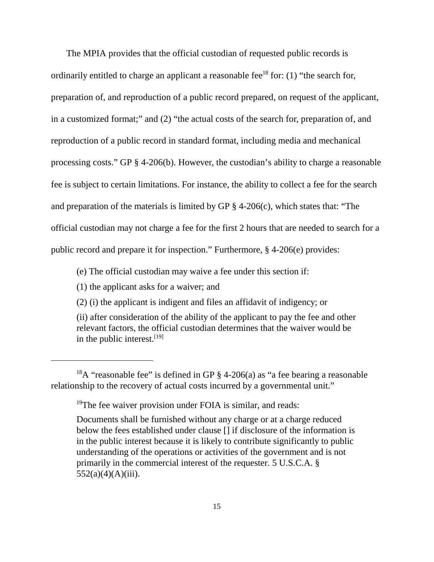The MPIA provides that the official custodian of requested public records is ordinarily entitled to charge an applicant a reasonable fee<sup>18</sup> for: (1) "the search for, preparation of, and reproduction of a public record prepared, on request of the applicant, in a customized format;" and (2) "the actual costs of the search for, preparation of, and reproduction of a public record in standard format, including media and mechanical processing costs." GP § 4-206(b). However, the custodian's ability to charge a reasonable fee is subject to certain limitations. For instance, the ability to collect a fee for the search and preparation of the materials is limited by GP § 4-206(c), which states that: "The official custodian may not charge a fee for the first 2 hours that are needed to search for a public record and prepare it for inspection." Furthermore, § 4-206(e) provides:

(e) The official custodian may waive a fee under this section if:

(1) the applicant asks for a waiver; and

(2) (i) the applicant is indigent and files an affidavit of indigency; or

(ii) after consideration of the ability of the applicant to pay the fee and other relevant factors, the official custodian determines that the waiver would be in the public interest.  $[19]$ 

<sup>&</sup>lt;sup>18</sup>A "reasonable fee" is defined in GP  $\S$  4-206(a) as "a fee bearing a reasonable relationship to the recovery of actual costs incurred by a governmental unit."

<sup>&</sup>lt;sup>19</sup>The fee waiver provision under FOIA is similar, and reads:

Documents shall be furnished without any charge or at a charge reduced below the fees established under clause [] if disclosure of the information is in the public interest because it is likely to contribute significantly to public understanding of the operations or activities of the government and is not primarily in the commercial interest of the requester. 5 U.S.C.A. §  $552(a)(4)(A)(iii)$ .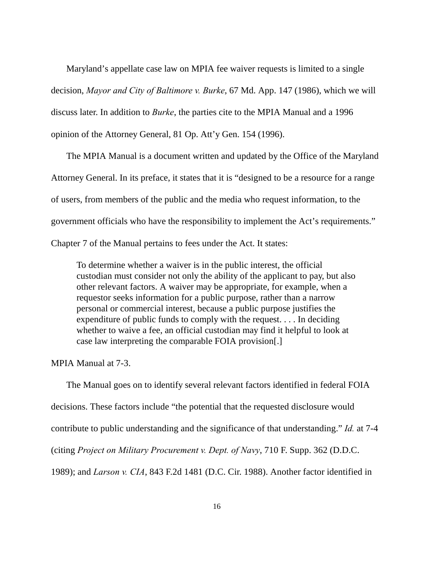Maryland's appellate case law on MPIA fee waiver requests is limited to a single decision, *Mayor and City of Baltimore v. Burke*, 67 Md. App. 147 (1986), which we will discuss later. In addition to *Burke*, the parties cite to the MPIA Manual and a 1996 opinion of the Attorney General, 81 Op. Att'y Gen. 154 (1996).

The MPIA Manual is a document written and updated by the Office of the Maryland Attorney General. In its preface, it states that it is "designed to be a resource for a range of users, from members of the public and the media who request information, to the government officials who have the responsibility to implement the Act's requirements." Chapter 7 of the Manual pertains to fees under the Act. It states:

To determine whether a waiver is in the public interest, the official custodian must consider not only the ability of the applicant to pay, but also other relevant factors. A waiver may be appropriate, for example, when a requestor seeks information for a public purpose, rather than a narrow personal or commercial interest, because a public purpose justifies the expenditure of public funds to comply with the request. . . . In deciding whether to waive a fee, an official custodian may find it helpful to look at case law interpreting the comparable FOIA provision[.]

MPIA Manual at 7-3.

The Manual goes on to identify several relevant factors identified in federal FOIA decisions. These factors include "the potential that the requested disclosure would contribute to public understanding and the significance of that understanding." *Id.* at 7-4 (citing *Project on Military Procurement v. Dept. of Navy*, 710 F. Supp. 362 (D.D.C. 1989); and *Larson v. CIA*, 843 F.2d 1481 (D.C. Cir. 1988). Another factor identified in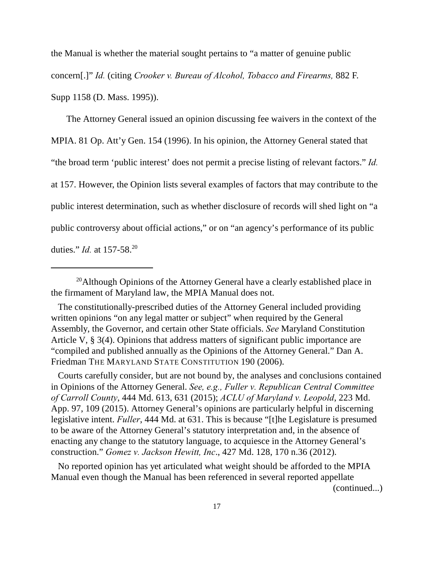the Manual is whether the material sought pertains to "a matter of genuine public concern[.]" *Id.* (citing *Crooker v. Bureau of Alcohol, Tobacco and Firearms,* 882 F. Supp 1158 (D. Mass. 1995)).

The Attorney General issued an opinion discussing fee waivers in the context of the MPIA. 81 Op. Att'y Gen. 154 (1996). In his opinion, the Attorney General stated that "the broad term 'public interest' does not permit a precise listing of relevant factors." *Id.* at 157. However, the Opinion lists several examples of factors that may contribute to the public interest determination, such as whether disclosure of records will shed light on "a public controversy about official actions," or on "an agency's performance of its public duties." *Id.* at 157-58. <sup>20</sup>

 Courts carefully consider, but are not bound by, the analyses and conclusions contained in Opinions of the Attorney General. *See, e.g., Fuller v. Republican Central Committee of Carroll County*, 444 Md. 613, 631 (2015); *ACLU of Maryland v. Leopold*, 223 Md. App. 97, 109 (2015). Attorney General's opinions are particularly helpful in discerning legislative intent. *Fuller*, 444 Md. at 631. This is because "[t]he Legislature is presumed to be aware of the Attorney General's statutory interpretation and, in the absence of enacting any change to the statutory language, to acquiesce in the Attorney General's construction." *Gomez v. Jackson Hewitt, Inc*., 427 Md. 128, 170 n.36 (2012).

 No reported opinion has yet articulated what weight should be afforded to the MPIA Manual even though the Manual has been referenced in several reported appellate (continued...)

 $^{20}$ Although Opinions of the Attorney General have a clearly established place in the firmament of Maryland law, the MPIA Manual does not.

The constitutionally-prescribed duties of the Attorney General included providing written opinions "on any legal matter or subject" when required by the General Assembly, the Governor, and certain other State officials. *See* Maryland Constitution Article V, § 3(4). Opinions that address matters of significant public importance are "compiled and published annually as the Opinions of the Attorney General." Dan A. Friedman THE MARYLAND STATE CONSTITUTION 190 (2006).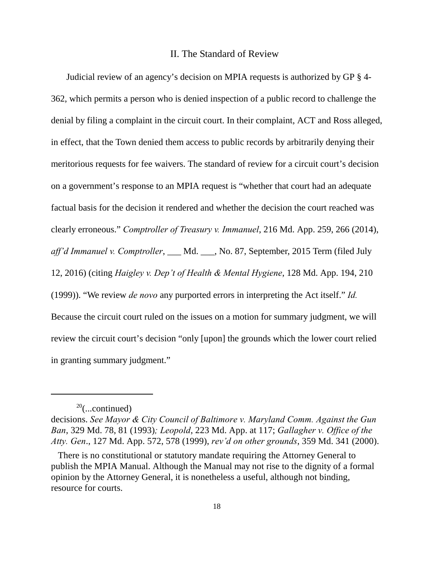## II. The Standard of Review

Judicial review of an agency's decision on MPIA requests is authorized by GP § 4- 362, which permits a person who is denied inspection of a public record to challenge the denial by filing a complaint in the circuit court. In their complaint, ACT and Ross alleged, in effect, that the Town denied them access to public records by arbitrarily denying their meritorious requests for fee waivers. The standard of review for a circuit court's decision on a government's response to an MPIA request is "whether that court had an adequate factual basis for the decision it rendered and whether the decision the court reached was clearly erroneous." *Comptroller of Treasury v. Immanuel*, 216 Md. App. 259, 266 (2014), *aff'd Immanuel v. Comptroller*, \_\_\_ Md. \_\_\_, No. 87, September, 2015 Term (filed July 12, 2016) (citing *Haigley v. Dep't of Health & Mental Hygiene*, 128 Md. App. 194, 210 (1999)). "We review *de novo* any purported errors in interpreting the Act itself." *Id.* Because the circuit court ruled on the issues on a motion for summary judgment, we will review the circuit court's decision "only [upon] the grounds which the lower court relied in granting summary judgment."

 $20$ (...continued)

decisions. *See Mayor & City Council of Baltimore v. Maryland Comm. Against the Gun Ban*, 329 Md. 78, 81 (1993)*; Leopold*, 223 Md. App. at 117; *Gallagher v. Office of the Atty. Gen*., 127 Md. App. 572, 578 (1999), *rev'd on other grounds*, 359 Md. 341 (2000).

There is no constitutional or statutory mandate requiring the Attorney General to publish the MPIA Manual. Although the Manual may not rise to the dignity of a formal opinion by the Attorney General, it is nonetheless a useful, although not binding, resource for courts.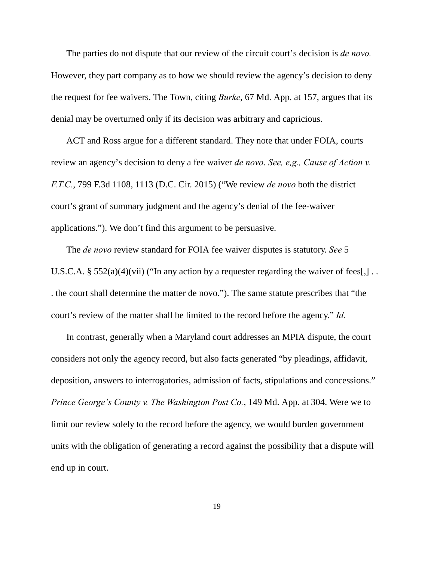The parties do not dispute that our review of the circuit court's decision is *de novo.* However, they part company as to how we should review the agency's decision to deny the request for fee waivers. The Town, citing *Burke*, 67 Md. App. at 157, argues that its denial may be overturned only if its decision was arbitrary and capricious.

ACT and Ross argue for a different standard. They note that under FOIA, courts review an agency's decision to deny a fee waiver *de novo*. *See, e,g., Cause of Action v. F.T.C.*, 799 F.3d 1108, 1113 (D.C. Cir. 2015) ("We review *de novo* both the district court's grant of summary judgment and the agency's denial of the fee-waiver applications."). We don't find this argument to be persuasive.

The *de novo* review standard for FOIA fee waiver disputes is statutory. *See* 5 U.S.C.A. §  $552(a)(4)(vii)$  ("In any action by a requester regarding the waiver of fees[,].. . the court shall determine the matter de novo."). The same statute prescribes that "the court's review of the matter shall be limited to the record before the agency." *Id.*

In contrast, generally when a Maryland court addresses an MPIA dispute, the court considers not only the agency record, but also facts generated "by pleadings, affidavit, deposition, answers to interrogatories, admission of facts, stipulations and concessions." *Prince George's County v. The Washington Post Co.*, 149 Md. App. at 304. Were we to limit our review solely to the record before the agency, we would burden government units with the obligation of generating a record against the possibility that a dispute will end up in court.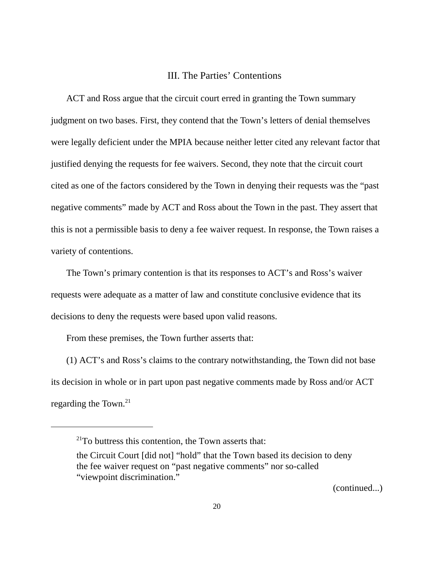## III. The Parties' Contentions

ACT and Ross argue that the circuit court erred in granting the Town summary judgment on two bases. First, they contend that the Town's letters of denial themselves were legally deficient under the MPIA because neither letter cited any relevant factor that justified denying the requests for fee waivers. Second, they note that the circuit court cited as one of the factors considered by the Town in denying their requests was the "past negative comments" made by ACT and Ross about the Town in the past. They assert that this is not a permissible basis to deny a fee waiver request. In response, the Town raises a variety of contentions.

The Town's primary contention is that its responses to ACT's and Ross's waiver requests were adequate as a matter of law and constitute conclusive evidence that its decisions to deny the requests were based upon valid reasons.

From these premises, the Town further asserts that:

(1) ACT's and Ross's claims to the contrary notwithstanding, the Town did not base its decision in whole or in part upon past negative comments made by Ross and/or ACT regarding the Town.<sup>21</sup>

(continued...)

 $21$ To buttress this contention, the Town asserts that:

the Circuit Court [did not] "hold" that the Town based its decision to deny the fee waiver request on "past negative comments" nor so-called "viewpoint discrimination."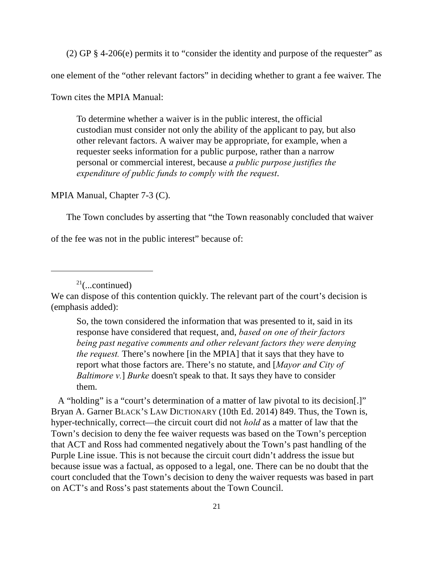(2) GP § 4-206(e) permits it to "consider the identity and purpose of the requester" as

one element of the "other relevant factors" in deciding whether to grant a fee waiver. The

Town cites the MPIA Manual:

To determine whether a waiver is in the public interest, the official custodian must consider not only the ability of the applicant to pay, but also other relevant factors. A waiver may be appropriate, for example, when a requester seeks information for a public purpose, rather than a narrow personal or commercial interest, because *a public purpose justifies the expenditure of public funds to comply with the request*.

MPIA Manual, Chapter 7-3 (C).

The Town concludes by asserting that "the Town reasonably concluded that waiver

of the fee was not in the public interest" because of:

 $21$ (...continued)

We can dispose of this contention quickly. The relevant part of the court's decision is (emphasis added):

So, the town considered the information that was presented to it, said in its response have considered that request, and, *based on one of their factors being past negative comments and other relevant factors they were denying the request.* There's nowhere [in the MPIA] that it says that they have to report what those factors are. There's no statute, and [*Mayor and City of Baltimore v.*] *Burke* doesn't speak to that. It says they have to consider them.

 A "holding" is a "court's determination of a matter of law pivotal to its decision[.]" Bryan A. Garner BLACK'S LAW DICTIONARY (10th Ed. 2014) 849. Thus, the Town is, hyper-technically, correct—the circuit court did not *hold* as a matter of law that the Town's decision to deny the fee waiver requests was based on the Town's perception that ACT and Ross had commented negatively about the Town's past handling of the Purple Line issue. This is not because the circuit court didn't address the issue but because issue was a factual, as opposed to a legal, one. There can be no doubt that the court concluded that the Town's decision to deny the waiver requests was based in part on ACT's and Ross's past statements about the Town Council.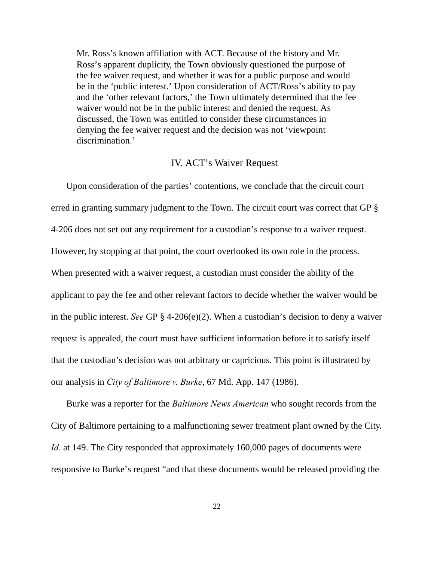Mr. Ross's known affiliation with ACT. Because of the history and Mr. Ross's apparent duplicity, the Town obviously questioned the purpose of the fee waiver request, and whether it was for a public purpose and would be in the 'public interest.' Upon consideration of ACT/Ross's ability to pay and the 'other relevant factors,' the Town ultimately determined that the fee waiver would not be in the public interest and denied the request. As discussed, the Town was entitled to consider these circumstances in denying the fee waiver request and the decision was not 'viewpoint discrimination.'

### IV. ACT's Waiver Request

Upon consideration of the parties' contentions, we conclude that the circuit court erred in granting summary judgment to the Town. The circuit court was correct that GP § 4-206 does not set out any requirement for a custodian's response to a waiver request. However, by stopping at that point, the court overlooked its own role in the process. When presented with a waiver request, a custodian must consider the ability of the applicant to pay the fee and other relevant factors to decide whether the waiver would be in the public interest. *See* GP § 4-206(e)(2). When a custodian's decision to deny a waiver request is appealed, the court must have sufficient information before it to satisfy itself that the custodian's decision was not arbitrary or capricious. This point is illustrated by our analysis in *City of Baltimore v. Burke*, 67 Md. App. 147 (1986).

Burke was a reporter for the *Baltimore News American* who sought records from the City of Baltimore pertaining to a malfunctioning sewer treatment plant owned by the City. *Id.* at 149. The City responded that approximately 160,000 pages of documents were responsive to Burke's request "and that these documents would be released providing the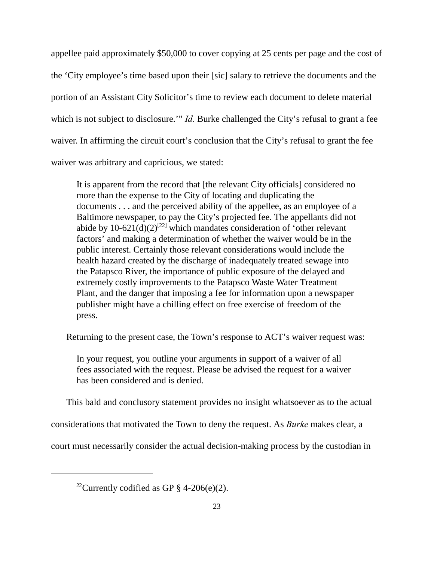appellee paid approximately \$50,000 to cover copying at 25 cents per page and the cost of the 'City employee's time based upon their [sic] salary to retrieve the documents and the portion of an Assistant City Solicitor's time to review each document to delete material which is not subject to disclosure.'" *Id*. Burke challenged the City's refusal to grant a fee waiver. In affirming the circuit court's conclusion that the City's refusal to grant the fee waiver was arbitrary and capricious, we stated:

It is apparent from the record that [the relevant City officials] considered no more than the expense to the City of locating and duplicating the documents . . . and the perceived ability of the appellee, as an employee of a Baltimore newspaper, to pay the City's projected fee. The appellants did not abide by  $10-621(d)(2)^{[22]}$  which mandates consideration of 'other relevant factors' and making a determination of whether the waiver would be in the public interest. Certainly those relevant considerations would include the health hazard created by the discharge of inadequately treated sewage into the Patapsco River, the importance of public exposure of the delayed and extremely costly improvements to the Patapsco Waste Water Treatment Plant, and the danger that imposing a fee for information upon a newspaper publisher might have a chilling effect on free exercise of freedom of the press.

Returning to the present case, the Town's response to ACT's waiver request was:

In your request, you outline your arguments in support of a waiver of all fees associated with the request. Please be advised the request for a waiver has been considered and is denied.

This bald and conclusory statement provides no insight whatsoever as to the actual

considerations that motivated the Town to deny the request. As *Burke* makes clear, a

court must necessarily consider the actual decision-making process by the custodian in

<sup>&</sup>lt;sup>22</sup>Currently codified as GP  $\S$  4-206(e)(2).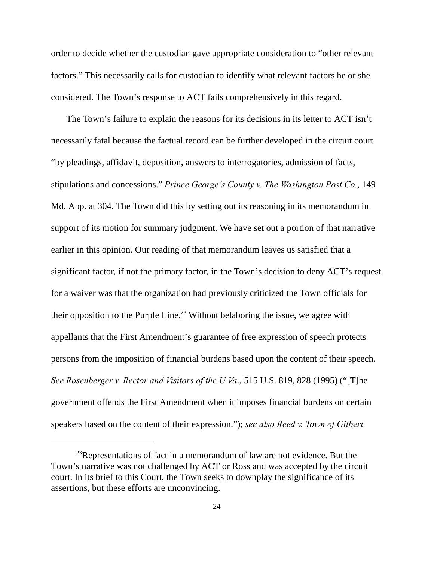order to decide whether the custodian gave appropriate consideration to "other relevant factors." This necessarily calls for custodian to identify what relevant factors he or she considered. The Town's response to ACT fails comprehensively in this regard.

The Town's failure to explain the reasons for its decisions in its letter to ACT isn't necessarily fatal because the factual record can be further developed in the circuit court "by pleadings, affidavit, deposition, answers to interrogatories, admission of facts, stipulations and concessions." *Prince George's County v. The Washington Post Co.*, 149 Md. App. at 304. The Town did this by setting out its reasoning in its memorandum in support of its motion for summary judgment. We have set out a portion of that narrative earlier in this opinion. Our reading of that memorandum leaves us satisfied that a significant factor, if not the primary factor, in the Town's decision to deny ACT's request for a waiver was that the organization had previously criticized the Town officials for their opposition to the Purple Line.<sup>23</sup> Without belaboring the issue, we agree with appellants that the First Amendment's guarantee of free expression of speech protects persons from the imposition of financial burdens based upon the content of their speech. *See Rosenberger v. Rector and Visitors of the U Va*., 515 U.S. 819, 828 (1995) ("[T]he government offends the First Amendment when it imposes financial burdens on certain speakers based on the content of their expression."); *see also Reed v. Town of Gilbert,*

 $^{23}$ Representations of fact in a memorandum of law are not evidence. But the Town's narrative was not challenged by ACT or Ross and was accepted by the circuit court. In its brief to this Court, the Town seeks to downplay the significance of its assertions, but these efforts are unconvincing.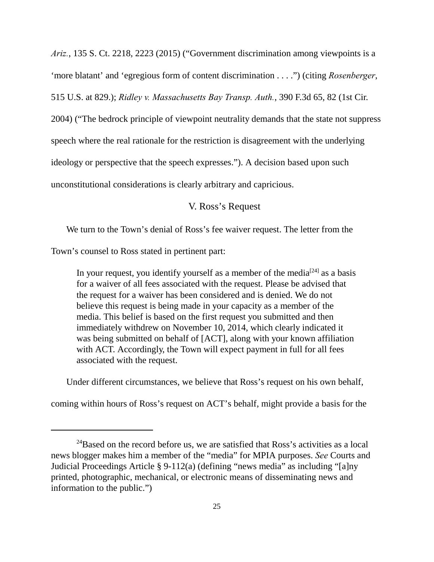*Ariz.*, 135 S. Ct. 2218, 2223 (2015) ("Government discrimination among viewpoints is a

'more blatant' and 'egregious form of content discrimination . . . .") (citing *Rosenberger*,

515 U.S. at 829.); *Ridley v. Massachusetts Bay Transp. Auth.*, 390 F.3d 65, 82 (1st Cir.

2004) ("The bedrock principle of viewpoint neutrality demands that the state not suppress

speech where the real rationale for the restriction is disagreement with the underlying

ideology or perspective that the speech expresses."). A decision based upon such

unconstitutional considerations is clearly arbitrary and capricious.

## V. Ross's Request

We turn to the Town's denial of Ross's fee waiver request. The letter from the

Town's counsel to Ross stated in pertinent part:

In your request, you identify yourself as a member of the media  $[24]$  as a basis for a waiver of all fees associated with the request. Please be advised that the request for a waiver has been considered and is denied. We do not believe this request is being made in your capacity as a member of the media. This belief is based on the first request you submitted and then immediately withdrew on November 10, 2014, which clearly indicated it was being submitted on behalf of [ACT], along with your known affiliation with ACT. Accordingly, the Town will expect payment in full for all fees associated with the request.

Under different circumstances, we believe that Ross's request on his own behalf,

coming within hours of Ross's request on ACT's behalf, might provide a basis for the

 $^{24}$ Based on the record before us, we are satisfied that Ross's activities as a local news blogger makes him a member of the "media" for MPIA purposes. *See* Courts and Judicial Proceedings Article § 9-112(a) (defining "news media" as including "[a]ny printed, photographic, mechanical, or electronic means of disseminating news and information to the public.")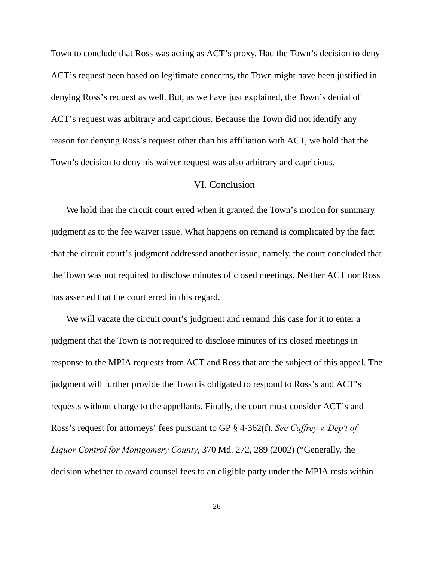Town to conclude that Ross was acting as ACT's proxy. Had the Town's decision to deny ACT's request been based on legitimate concerns, the Town might have been justified in denying Ross's request as well. But, as we have just explained, the Town's denial of ACT's request was arbitrary and capricious. Because the Town did not identify any reason for denying Ross's request other than his affiliation with ACT, we hold that the Town's decision to deny his waiver request was also arbitrary and capricious.

## VI. Conclusion

We hold that the circuit court erred when it granted the Town's motion for summary judgment as to the fee waiver issue. What happens on remand is complicated by the fact that the circuit court's judgment addressed another issue, namely, the court concluded that the Town was not required to disclose minutes of closed meetings. Neither ACT nor Ross has asserted that the court erred in this regard.

We will vacate the circuit court's judgment and remand this case for it to enter a judgment that the Town is not required to disclose minutes of its closed meetings in response to the MPIA requests from ACT and Ross that are the subject of this appeal. The judgment will further provide the Town is obligated to respond to Ross's and ACT's requests without charge to the appellants. Finally, the court must consider ACT's and Ross's request for attorneys' fees pursuant to GP § 4-362(f)*. See Caffrey v. Dep't of Liquor Control for Montgomery County*, 370 Md. 272, 289 (2002) ("Generally, the decision whether to award counsel fees to an eligible party under the MPIA rests within